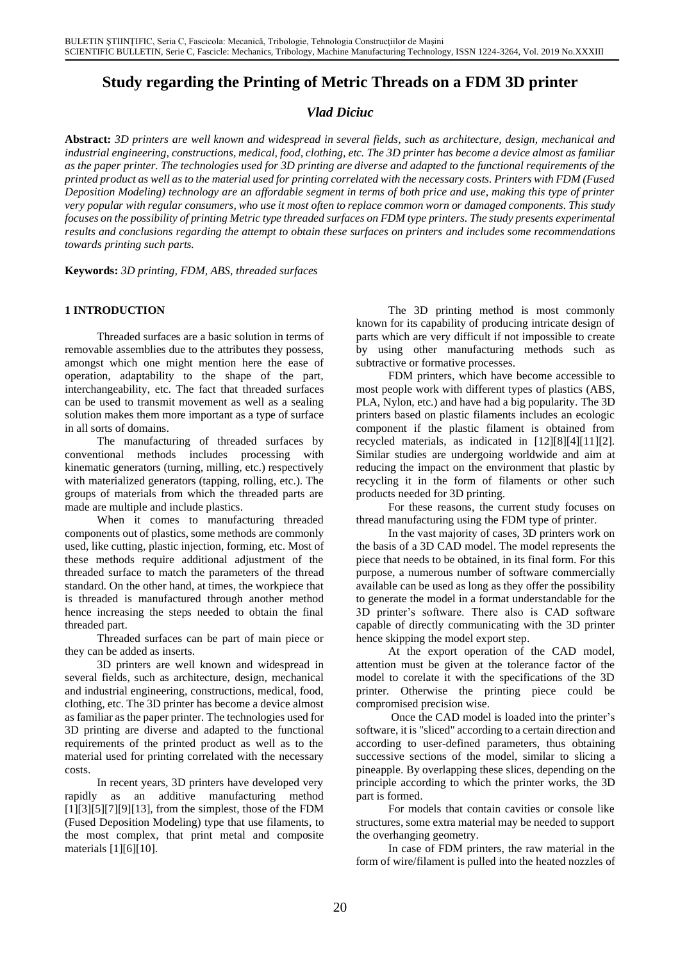# **Study regarding the Printing of Metric Threads on a FDM 3D printer**

# *Vlad Diciuc*

**Abstract:** *3D printers are well known and widespread in several fields, such as architecture, design, mechanical and industrial engineering, constructions, medical, food, clothing, etc. The 3D printer has become a device almost as familiar as the paper printer. The technologies used for 3D printing are diverse and adapted to the functional requirements of the printed product as well as to the material used for printing correlated with the necessary costs. Printers with FDM (Fused Deposition Modeling) technology are an affordable segment in terms of both price and use, making this type of printer very popular with regular consumers, who use it most often to replace common worn or damaged components. This study focuses on the possibility of printing Metric type threaded surfaces on FDM type printers. The study presents experimental results and conclusions regarding the attempt to obtain these surfaces on printers and includes some recommendations towards printing such parts.* 

**Keywords:** *3D printing, FDM, ABS, threaded surfaces*

### **1 INTRODUCTION**

Threaded surfaces are a basic solution in terms of removable assemblies due to the attributes they possess, amongst which one might mention here the ease of operation, adaptability to the shape of the part, interchangeability, etc. The fact that threaded surfaces can be used to transmit movement as well as a sealing solution makes them more important as a type of surface in all sorts of domains.

The manufacturing of threaded surfaces by conventional methods includes processing with kinematic generators (turning, milling, etc.) respectively with materialized generators (tapping, rolling, etc.). The groups of materials from which the threaded parts are made are multiple and include plastics.

When it comes to manufacturing threaded components out of plastics, some methods are commonly used, like cutting, plastic injection, forming, etc. Most of these methods require additional adjustment of the threaded surface to match the parameters of the thread standard. On the other hand, at times, the workpiece that is threaded is manufactured through another method hence increasing the steps needed to obtain the final threaded part.

Threaded surfaces can be part of main piece or they can be added as inserts.

3D printers are well known and widespread in several fields, such as architecture, design, mechanical and industrial engineering, constructions, medical, food, clothing, etc. The 3D printer has become a device almost as familiar as the paper printer. The technologies used for 3D printing are diverse and adapted to the functional requirements of the printed product as well as to the material used for printing correlated with the necessary costs.

In recent years, 3D printers have developed very rapidly as an additive manufacturing method  $[1][3][5][7][9][13]$ , from the simplest, those of the FDM (Fused Deposition Modeling) type that use filaments, to the most complex, that print metal and composite materials [1][6][10].

The 3D printing method is most commonly known for its capability of producing intricate design of parts which are very difficult if not impossible to create by using other manufacturing methods such as subtractive or formative processes.

FDM printers, which have become accessible to most people work with different types of plastics (ABS, PLA, Nylon, etc.) and have had a big popularity. The 3D printers based on plastic filaments includes an ecologic component if the plastic filament is obtained from recycled materials, as indicated in [12][8][4][11][2]. Similar studies are undergoing worldwide and aim at reducing the impact on the environment that plastic by recycling it in the form of filaments or other such products needed for 3D printing.

For these reasons, the current study focuses on thread manufacturing using the FDM type of printer.

In the vast majority of cases, 3D printers work on the basis of a 3D CAD model. The model represents the piece that needs to be obtained, in its final form. For this purpose, a numerous number of software commercially available can be used as long as they offer the possibility to generate the model in a format understandable for the 3D printer's software. There also is CAD software capable of directly communicating with the 3D printer hence skipping the model export step.

At the export operation of the CAD model, attention must be given at the tolerance factor of the model to corelate it with the specifications of the 3D printer. Otherwise the printing piece could be compromised precision wise.

Once the CAD model is loaded into the printer's software, it is "sliced" according to a certain direction and according to user-defined parameters, thus obtaining successive sections of the model, similar to slicing a pineapple. By overlapping these slices, depending on the principle according to which the printer works, the 3D part is formed.

For models that contain cavities or console like structures, some extra material may be needed to support the overhanging geometry.

In case of FDM printers, the raw material in the form of wire/filament is pulled into the heated nozzles of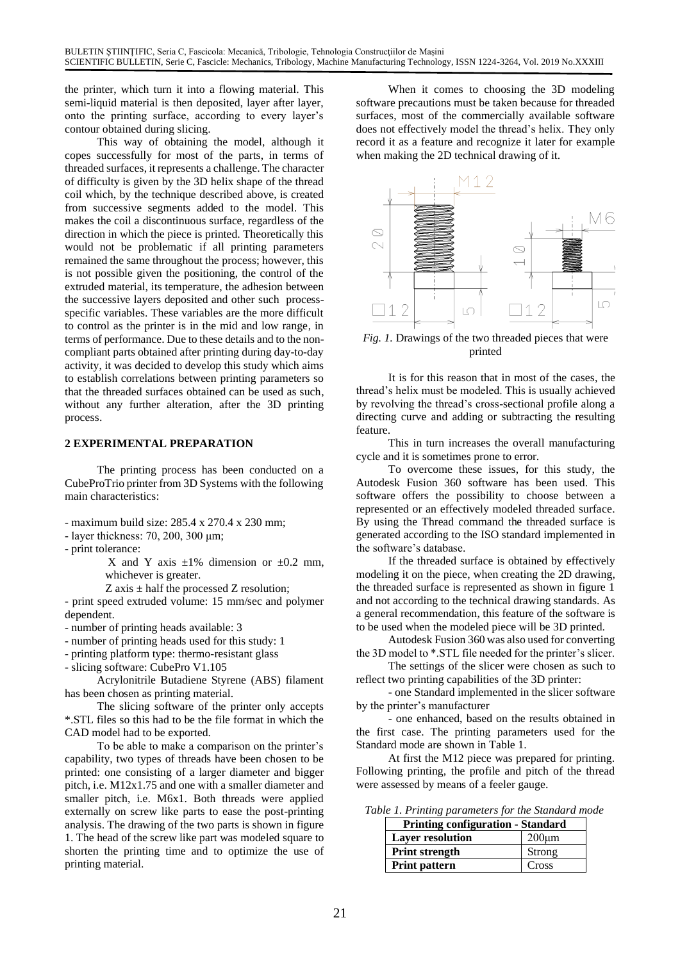the printer, which turn it into a flowing material. This semi-liquid material is then deposited, layer after layer, onto the printing surface, according to every layer's contour obtained during slicing.

This way of obtaining the model, although it copes successfully for most of the parts, in terms of threaded surfaces, it represents a challenge. The character of difficulty is given by the 3D helix shape of the thread coil which, by the technique described above, is created from successive segments added to the model. This makes the coil a discontinuous surface, regardless of the direction in which the piece is printed. Theoretically this would not be problematic if all printing parameters remained the same throughout the process; however, this is not possible given the positioning, the control of the extruded material, its temperature, the adhesion between the successive layers deposited and other such processspecific variables. These variables are the more difficult to control as the printer is in the mid and low range, in terms of performance. Due to these details and to the noncompliant parts obtained after printing during day-to-day activity, it was decided to develop this study which aims to establish correlations between printing parameters so that the threaded surfaces obtained can be used as such, without any further alteration, after the 3D printing process.

#### **2 EXPERIMENTAL PREPARATION**

The printing process has been conducted on a CubeProTrio printer from 3D Systems with the following main characteristics:

- maximum build size: 285.4 x 270.4 x 230 mm;
- layer thickness: 70, 200, 300 μm;
- print tolerance:
	- X and Y axis  $\pm 1\%$  dimension or  $\pm 0.2$  mm. whichever is greater.
	- $Z$  axis  $\pm$  half the processed  $Z$  resolution;

- print speed extruded volume: 15 mm/sec and polymer dependent.

- number of printing heads available: 3

- number of printing heads used for this study: 1

- printing platform type: thermo-resistant glass

- slicing software: CubePro V1.105

Acrylonitrile Butadiene Styrene (ABS) filament has been chosen as printing material.

The slicing software of the printer only accepts \*.STL files so this had to be the file format in which the CAD model had to be exported.

To be able to make a comparison on the printer's capability, two types of threads have been chosen to be printed: one consisting of a larger diameter and bigger pitch, i.e. M12x1.75 and one with a smaller diameter and smaller pitch, i.e. M6x1. Both threads were applied externally on screw like parts to ease the post-printing analysis. The drawing of the two parts is shown in figure 1. The head of the screw like part was modeled square to shorten the printing time and to optimize the use of printing material.

When it comes to choosing the 3D modeling software precautions must be taken because for threaded surfaces, most of the commercially available software does not effectively model the thread's helix. They only record it as a feature and recognize it later for example when making the 2D technical drawing of it.



*Fig. 1.* Drawings of the two threaded pieces that were printed

It is for this reason that in most of the cases, the thread's helix must be modeled. This is usually achieved by revolving the thread's cross-sectional profile along a directing curve and adding or subtracting the resulting feature.

This in turn increases the overall manufacturing cycle and it is sometimes prone to error.

To overcome these issues, for this study, the Autodesk Fusion 360 software has been used. This software offers the possibility to choose between a represented or an effectively modeled threaded surface. By using the Thread command the threaded surface is generated according to the ISO standard implemented in the software's database.

If the threaded surface is obtained by effectively modeling it on the piece, when creating the 2D drawing, the threaded surface is represented as shown in figure 1 and not according to the technical drawing standards. As a general recommendation, this feature of the software is to be used when the modeled piece will be 3D printed.

Autodesk Fusion 360 was also used for converting the 3D model to \*.STL file needed for the printer's slicer.

The settings of the slicer were chosen as such to reflect two printing capabilities of the 3D printer:

- one Standard implemented in the slicer software by the printer's manufacturer

- one enhanced, based on the results obtained in the first case. The printing parameters used for the Standard mode are shown in Table 1.

At first the M12 piece was prepared for printing. Following printing, the profile and pitch of the thread were assessed by means of a feeler gauge.

*Table 1. Printing parameters for the Standard mode*

| <b>Printing configuration - Standard</b> |             |  |  |
|------------------------------------------|-------------|--|--|
| <b>Layer resolution</b>                  | $200 \mu m$ |  |  |
| <b>Print strength</b>                    | Strong      |  |  |
| <b>Print pattern</b>                     | Cross       |  |  |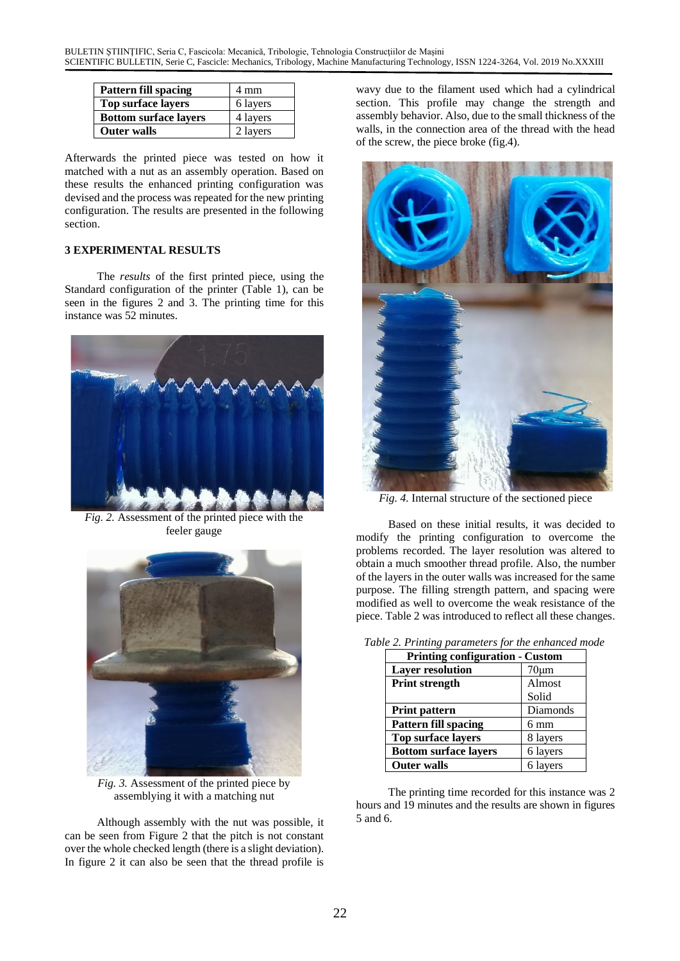| Pattern fill spacing         | 4 mm     |
|------------------------------|----------|
| Top surface layers           | 6 layers |
| <b>Bottom surface layers</b> | 4 layers |
| <b>Outer walls</b>           | 2 layers |

Afterwards the printed piece was tested on how it matched with a nut as an assembly operation. Based on these results the enhanced printing configuration was devised and the process was repeated for the new printing configuration. The results are presented in the following section.

#### **3 EXPERIMENTAL RESULTS**

The *results* of the first printed piece, using the Standard configuration of the printer (Table 1), can be seen in the figures 2 and 3. The printing time for this instance was 52 minutes.



*Fig. 2.* Assessment of the printed piece with the feeler gauge



*Fig. 3.* Assessment of the printed piece by assemblying it with a matching nut

Although assembly with the nut was possible, it can be seen from Figure 2 that the pitch is not constant over the whole checked length (there is a slight deviation). In figure 2 it can also be seen that the thread profile is

wavy due to the filament used which had a cylindrical section. This profile may change the strength and assembly behavior. Also, due to the small thickness of the walls, in the connection area of the thread with the head of the screw, the piece broke (fig.4).



*Fig. 4.* Internal structure of the sectioned piece

Based on these initial results, it was decided to modify the printing configuration to overcome the problems recorded. The layer resolution was altered to obtain a much smoother thread profile. Also, the number of the layers in the outer walls was increased for the same purpose. The filling strength pattern, and spacing were modified as well to overcome the weak resistance of the piece. Table 2 was introduced to reflect all these changes.

| <b>Printing configuration - Custom</b> |                |  |  |  |
|----------------------------------------|----------------|--|--|--|
| <b>Layer resolution</b>                | $70 \mu m$     |  |  |  |
| <b>Print strength</b>                  | Almost         |  |  |  |
|                                        | Solid          |  |  |  |
| Print pattern                          | Diamonds       |  |  |  |
| <b>Pattern fill spacing</b>            | $6 \text{ mm}$ |  |  |  |
| <b>Top surface layers</b>              | 8 layers       |  |  |  |
| <b>Bottom surface layers</b>           | 6 layers       |  |  |  |
| <b>Outer walls</b>                     | 6 layers       |  |  |  |

|  | Table 2. Printing parameters for the enhanced mode |  |  |
|--|----------------------------------------------------|--|--|
|  |                                                    |  |  |

The printing time recorded for this instance was 2 hours and 19 minutes and the results are shown in figures 5 and 6.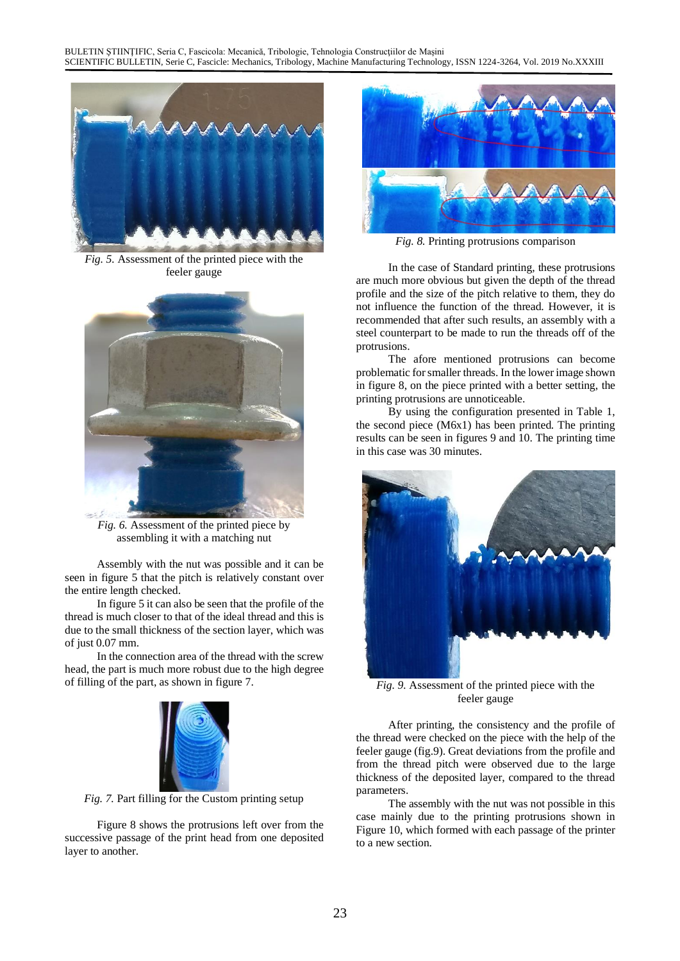

*Fig. 5.* Assessment of the printed piece with the feeler gauge



*Fig. 6.* Assessment of the printed piece by assembling it with a matching nut

Assembly with the nut was possible and it can be seen in figure 5 that the pitch is relatively constant over the entire length checked.

In figure 5 it can also be seen that the profile of the thread is much closer to that of the ideal thread and this is due to the small thickness of the section layer, which was of just 0.07 mm.

In the connection area of the thread with the screw head, the part is much more robust due to the high degree of filling of the part, as shown in figure 7.



*Fig. 7.* Part filling for the Custom printing setup

Figure 8 shows the protrusions left over from the successive passage of the print head from one deposited layer to another.



*Fig. 8.* Printing protrusions comparison

In the case of Standard printing, these protrusions are much more obvious but given the depth of the thread profile and the size of the pitch relative to them, they do not influence the function of the thread. However, it is recommended that after such results, an assembly with a steel counterpart to be made to run the threads off of the protrusions.

The afore mentioned protrusions can become problematic for smaller threads. In the lower image shown in figure 8, on the piece printed with a better setting, the printing protrusions are unnoticeable.

By using the configuration presented in Table 1, the second piece (M6x1) has been printed. The printing results can be seen in figures 9 and 10. The printing time in this case was 30 minutes.



*Fig. 9.* Assessment of the printed piece with the feeler gauge

After printing, the consistency and the profile of the thread were checked on the piece with the help of the feeler gauge (fig.9). Great deviations from the profile and from the thread pitch were observed due to the large thickness of the deposited layer, compared to the thread parameters.

The assembly with the nut was not possible in this case mainly due to the printing protrusions shown in Figure 10, which formed with each passage of the printer to a new section.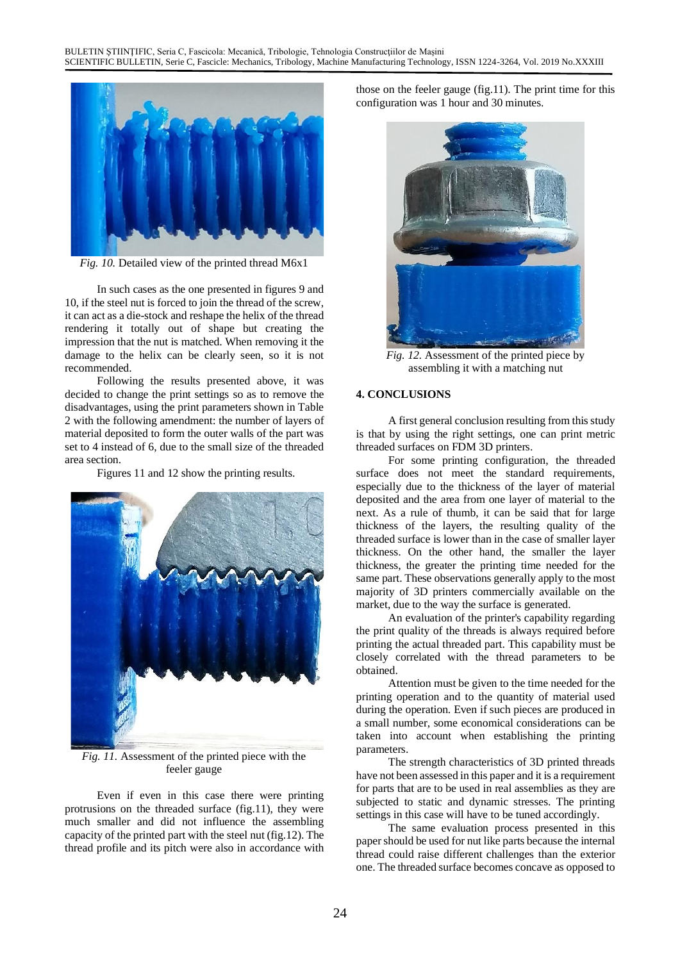

*Fig. 10.* Detailed view of the printed thread M6x1

In such cases as the one presented in figures 9 and 10, if the steel nut is forced to join the thread of the screw, it can act as a die-stock and reshape the helix of the thread rendering it totally out of shape but creating the impression that the nut is matched. When removing it the damage to the helix can be clearly seen, so it is not recommended.

Following the results presented above, it was decided to change the print settings so as to remove the disadvantages, using the print parameters shown in Table 2 with the following amendment: the number of layers of material deposited to form the outer walls of the part was set to 4 instead of 6, due to the small size of the threaded area section.

Figures 11 and 12 show the printing results.



*Fig. 11.* Assessment of the printed piece with the feeler gauge

Even if even in this case there were printing protrusions on the threaded surface (fig.11), they were much smaller and did not influence the assembling capacity of the printed part with the steel nut (fig.12). The thread profile and its pitch were also in accordance with those on the feeler gauge (fig.11). The print time for this configuration was 1 hour and 30 minutes.



*Fig. 12.* Assessment of the printed piece by assembling it with a matching nut

#### **4. CONCLUSIONS**

A first general conclusion resulting from this study is that by using the right settings, one can print metric threaded surfaces on FDM 3D printers.

For some printing configuration, the threaded surface does not meet the standard requirements, especially due to the thickness of the layer of material deposited and the area from one layer of material to the next. As a rule of thumb, it can be said that for large thickness of the layers, the resulting quality of the threaded surface is lower than in the case of smaller layer thickness. On the other hand, the smaller the layer thickness, the greater the printing time needed for the same part. These observations generally apply to the most majority of 3D printers commercially available on the market, due to the way the surface is generated.

An evaluation of the printer's capability regarding the print quality of the threads is always required before printing the actual threaded part. This capability must be closely correlated with the thread parameters to be obtained.

Attention must be given to the time needed for the printing operation and to the quantity of material used during the operation. Even if such pieces are produced in a small number, some economical considerations can be taken into account when establishing the printing parameters.

The strength characteristics of 3D printed threads have not been assessed in this paper and it is a requirement for parts that are to be used in real assemblies as they are subjected to static and dynamic stresses. The printing settings in this case will have to be tuned accordingly.

The same evaluation process presented in this paper should be used for nut like parts because the internal thread could raise different challenges than the exterior one. The threaded surface becomes concave as opposed to